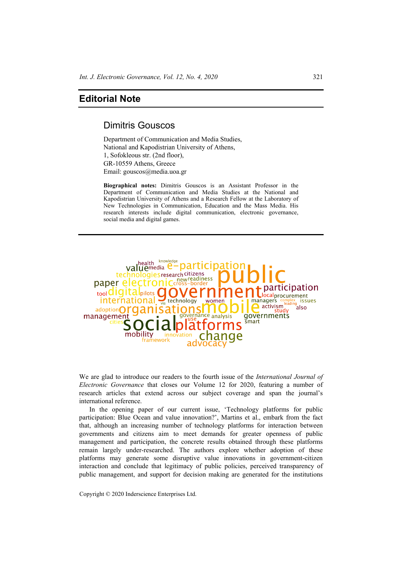## **Editorial Note**

## Dimitris Gouscos

Department of Communication and Media Studies, National and Kapodistrian University of Athens, 1, Sofokleous str. (2nd floor), GR-10559 Athens, Greece Email: gouscos@media.uoa.gr

**Biographical notes:** Dimitris Gouscos is an Assistant Professor in the Department of Communication and Media Studies at the National and Kapodistrian University of Athens and a Research Fellow at the Laboratory of New Technologies in Communication, Education and the Mass Media. His research interests include digital communication, electronic governance, social media and digital games.



We are glad to introduce our readers to the fourth issue of the *International Journal of Electronic Governance* that closes our Volume 12 for 2020, featuring a number of research articles that extend across our subject coverage and span the journal's international reference.

In the opening paper of our current issue, 'Technology platforms for public participation: Blue Ocean and value innovation?', Martins et al., embark from the fact that, although an increasing number of technology platforms for interaction between governments and citizens aim to meet demands for greater openness of public management and participation, the concrete results obtained through these platforms remain largely under-researched. The authors explore whether adoption of these platforms may generate some disruptive value innovations in government-citizen interaction and conclude that legitimacy of public policies, perceived transparency of public management, and support for decision making are generated for the institutions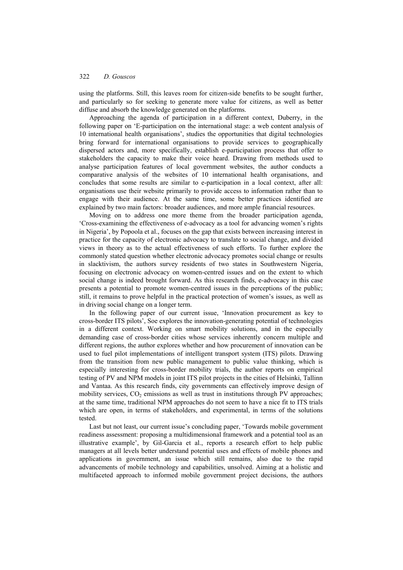using the platforms. Still, this leaves room for citizen-side benefits to be sought further, and particularly so for seeking to generate more value for citizens, as well as better diffuse and absorb the knowledge generated on the platforms.

Approaching the agenda of participation in a different context, Duberry, in the following paper on 'E-participation on the international stage: a web content analysis of 10 international health organisations', studies the opportunities that digital technologies bring forward for international organisations to provide services to geographically dispersed actors and, more specifically, establish e-participation process that offer to stakeholders the capacity to make their voice heard. Drawing from methods used to analyse participation features of local government websites, the author conducts a comparative analysis of the websites of 10 international health organisations, and concludes that some results are similar to e-participation in a local context, after all: organisations use their website primarily to provide access to information rather than to engage with their audience. At the same time, some better practices identified are explained by two main factors: broader audiences, and more ample financial resources.

Moving on to address one more theme from the broader participation agenda, 'Cross-examining the effectiveness of e-advocacy as a tool for advancing women's rights in Nigeria', by Popoola et al., focuses on the gap that exists between increasing interest in practice for the capacity of electronic advocacy to translate to social change, and divided views in theory as to the actual effectiveness of such efforts. To further explore the commonly stated question whether electronic advocacy promotes social change or results in slacktivism, the authors survey residents of two states in Southwestern Nigeria, focusing on electronic advocacy on women-centred issues and on the extent to which social change is indeed brought forward. As this research finds, e-advocacy in this case presents a potential to promote women-centred issues in the perceptions of the public; still, it remains to prove helpful in the practical protection of women's issues, as well as in driving social change on a longer term.

In the following paper of our current issue, 'Innovation procurement as key to cross-border ITS pilots', Soe explores the innovation-generating potential of technologies in a different context. Working on smart mobility solutions, and in the especially demanding case of cross-border cities whose services inherently concern multiple and different regions, the author explores whether and how procurement of innovation can be used to fuel pilot implementations of intelligent transport system (ITS) pilots. Drawing from the transition from new public management to public value thinking, which is especially interesting for cross-border mobility trials, the author reports on empirical testing of PV and NPM models in joint ITS pilot projects in the cities of Helsinki, Tallinn and Vantaa. As this research finds, city governments can effectively improve design of mobility services,  $CO_2$  emissions as well as trust in institutions through PV approaches; at the same time, traditional NPM approaches do not seem to have a nice fit to ITS trials which are open, in terms of stakeholders, and experimental, in terms of the solutions tested.

Last but not least, our current issue's concluding paper, 'Towards mobile government readiness assessment: proposing a multidimensional framework and a potential tool as an illustrative example', by Gil-Garcia et al., reports a research effort to help public managers at all levels better understand potential uses and effects of mobile phones and applications in government, an issue which still remains, also due to the rapid advancements of mobile technology and capabilities, unsolved. Aiming at a holistic and multifaceted approach to informed mobile government project decisions, the authors